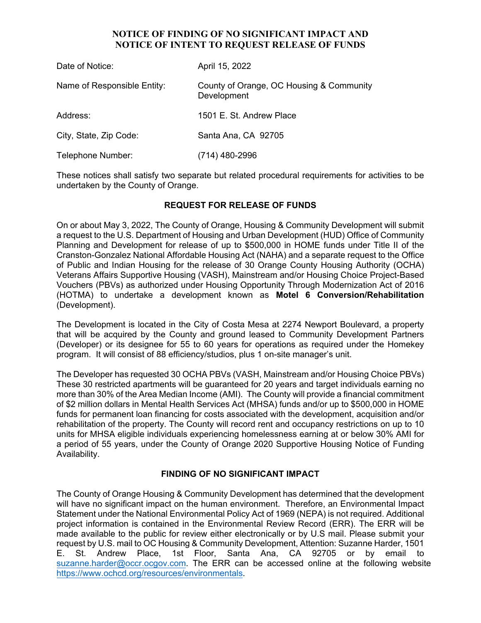## **NOTICE OF FINDING OF NO SIGNIFICANT IMPACT AND NOTICE OF INTENT TO REQUEST RELEASE OF FUNDS**

| Date of Notice:             | April 15, 2022                                          |
|-----------------------------|---------------------------------------------------------|
| Name of Responsible Entity: | County of Orange, OC Housing & Community<br>Development |
| Address:                    | 1501 E. St. Andrew Place                                |
| City, State, Zip Code:      | Santa Ana, CA 92705                                     |
| Telephone Number:           | (714) 480-2996                                          |

These notices shall satisfy two separate but related procedural requirements for activities to be undertaken by the County of Orange.

# **REQUEST FOR RELEASE OF FUNDS**

On or about May 3, 2022, The County of Orange, Housing & Community Development will submit a request to the U.S. Department of Housing and Urban Development (HUD) Office of Community Planning and Development for release of up to \$500,000 in HOME funds under Title II of the Cranston-Gonzalez National Affordable Housing Act (NAHA) and a separate request to the Office of Public and Indian Housing for the release of 30 Orange County Housing Authority (OCHA) Veterans Affairs Supportive Housing (VASH), Mainstream and/or Housing Choice Project-Based Vouchers (PBVs) as authorized under Housing Opportunity Through Modernization Act of 2016 (HOTMA) to undertake a development known as **Motel 6 Conversion/Rehabilitation**  (Development).

The Development is located in the City of Costa Mesa at 2274 Newport Boulevard, a property that will be acquired by the County and ground leased to Community Development Partners (Developer) or its designee for 55 to 60 years for operations as required under the Homekey program. It will consist of 88 efficiency/studios, plus 1 on-site manager's unit.

The Developer has requested 30 OCHA PBVs (VASH, Mainstream and/or Housing Choice PBVs) These 30 restricted apartments will be guaranteed for 20 years and target individuals earning no more than 30% of the Area Median Income (AMI). The County will provide a financial commitment of \$2 million dollars in Mental Health Services Act (MHSA) funds and/or up to \$500,000 in HOME funds for permanent loan financing for costs associated with the development, acquisition and/or rehabilitation of the property. The County will record rent and occupancy restrictions on up to 10 units for MHSA eligible individuals experiencing homelessness earning at or below 30% AMI for a period of 55 years, under the County of Orange 2020 Supportive Housing Notice of Funding Availability.

## **FINDING OF NO SIGNIFICANT IMPACT**

The County of Orange Housing & Community Development has determined that the development will have no significant impact on the human environment. Therefore, an Environmental Impact Statement under the National Environmental Policy Act of 1969 (NEPA) is not required. Additional project information is contained in the Environmental Review Record (ERR). The ERR will be made available to the public for review either electronically or by U.S mail. Please submit your request by U.S. mail to OC Housing & Community Development, Attention: Suzanne Harder, 1501 E. St. Andrew Place, 1st Floor, Santa Ana, CA 92705 or by email to suzanne.harder@occr.ocgov.com. The ERR can be accessed online at the following website https://www.ochcd.org/resources/environmentals.